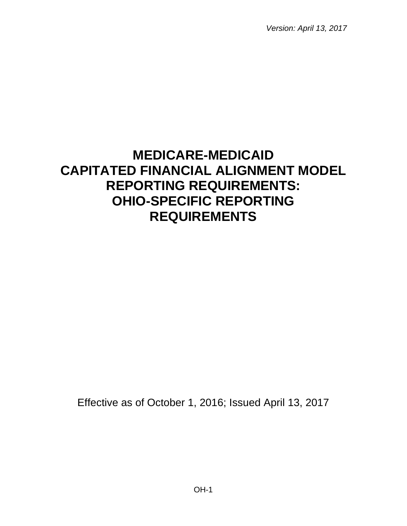*Version: April 13, 2017*

# **MEDICARE-MEDICAID CAPITATED FINANCIAL ALIGNMENT MODEL REPORTING REQUIREMENTS: OHIO-SPECIFIC REPORTING REQUIREMENTS**

Effective as of October 1, 2016; Issued April 13, 2017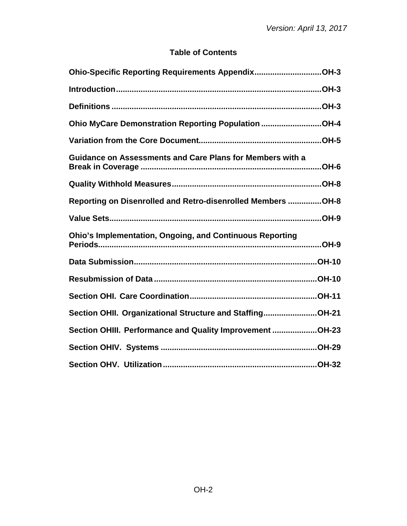# **Table of Contents**

| Ohio-Specific Reporting Requirements AppendixOH-3                |
|------------------------------------------------------------------|
|                                                                  |
|                                                                  |
| Ohio MyCare Demonstration Reporting Population OH-4              |
|                                                                  |
| <b>Guidance on Assessments and Care Plans for Members with a</b> |
|                                                                  |
| Reporting on Disenrolled and Retro-disenrolled Members OH-8      |
|                                                                  |
| <b>Ohio's Implementation, Ongoing, and Continuous Reporting</b>  |
|                                                                  |
|                                                                  |
|                                                                  |
| Section OHII. Organizational Structure and StaffingOH-21         |
| Section OHIII. Performance and Quality Improvement OH-23         |
|                                                                  |
|                                                                  |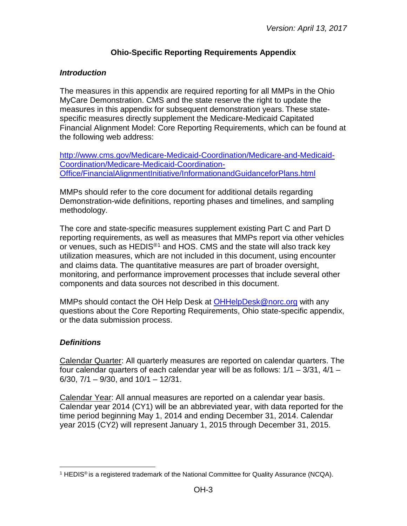# **Ohio-Specific Reporting Requirements Appendix**

# <span id="page-2-1"></span><span id="page-2-0"></span>*Introduction*

The measures in this appendix are required reporting for all MMPs in the Ohio MyCare Demonstration. CMS and the state reserve the right to update the measures in this appendix for subsequent demonstration years. These statespecific measures directly supplement the Medicare-Medicaid Capitated Financial Alignment Model: Core Reporting Requirements, which can be found at the following web address:

[http://www.cms.gov/Medicare-Medicaid-Coordination/Medicare-and-Medicaid-](http://www.cms.gov/Medicare-Medicaid-Coordination/Medicare-and-Medicaid-Coordination/Medicare-Medicaid-Coordination-Office/FinancialAlignmentInitiative/InformationandGuidanceforPlans.html)[Coordination/Medicare-Medicaid-Coordination-](http://www.cms.gov/Medicare-Medicaid-Coordination/Medicare-and-Medicaid-Coordination/Medicare-Medicaid-Coordination-Office/FinancialAlignmentInitiative/InformationandGuidanceforPlans.html)[Office/FinancialAlignmentInitiative/InformationandGuidanceforPlans.html](http://www.cms.gov/Medicare-Medicaid-Coordination/Medicare-and-Medicaid-Coordination/Medicare-Medicaid-Coordination-Office/FinancialAlignmentInitiative/InformationandGuidanceforPlans.html)

MMPs should refer to the core document for additional details regarding Demonstration-wide definitions, reporting phases and timelines, and sampling methodology.

The core and state-specific measures supplement existing Part C and Part D reporting requirements, as well as measures that MMPs report via other vehicles or venues, such as HEDIS<sup>®[1](#page-2-3)</sup> and HOS. CMS and the state will also track key utilization measures, which are not included in this document, using encounter and claims data. The quantitative measures are part of broader oversight, monitoring, and performance improvement processes that include several other components and data sources not described in this document.

MMPs should contact the OH Help Desk at [OHHelpDesk@norc.org](mailto:OHHelpDesk@norc.org) with any questions about the Core Reporting Requirements, Ohio state-specific appendix, or the data submission process.

# <span id="page-2-2"></span>*Definitions*

Calendar Quarter: All quarterly measures are reported on calendar quarters. The four calendar quarters of each calendar year will be as follows:  $1/1 - 3/31$ ,  $4/1 -$ 6/30, 7/1 – 9/30, and 10/1 – 12/31.

Calendar Year: All annual measures are reported on a calendar year basis. Calendar year 2014 (CY1) will be an abbreviated year, with data reported for the time period beginning May 1, 2014 and ending December 31, 2014. Calendar year 2015 (CY2) will represent January 1, 2015 through December 31, 2015.

<span id="page-2-3"></span><sup>&</sup>lt;sup>1</sup> HEDIS<sup>®</sup> is a registered trademark of the National Committee for Quality Assurance (NCQA).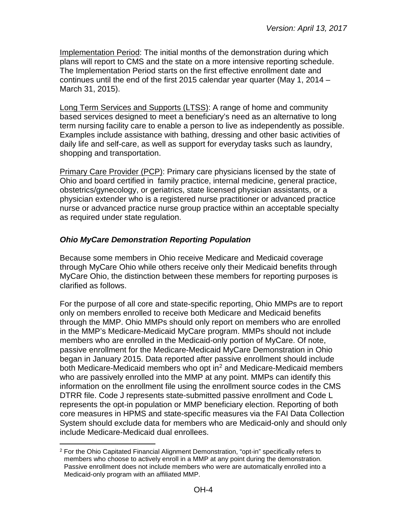Implementation Period: The initial months of the demonstration during which plans will report to CMS and the state on a more intensive reporting schedule. The Implementation Period starts on the first effective enrollment date and continues until the end of the first 2015 calendar year quarter (May 1, 2014 – March 31, 2015).

Long Term Services and Supports (LTSS): A range of home and community based services designed to meet a beneficiary's need as an alternative to long term nursing facility care to enable a person to live as independently as possible. Examples include assistance with bathing, dressing and other basic activities of daily life and self-care, as well as support for everyday tasks such as laundry, shopping and transportation.

Primary Care Provider (PCP): Primary care physicians licensed by the state of Ohio and board certified in family practice, internal medicine, general practice, obstetrics/gynecology, or geriatrics, state licensed physician assistants, or a physician extender who is a registered nurse practitioner or advanced practice nurse or advanced practice nurse group practice within an acceptable specialty as required under state regulation.

## <span id="page-3-0"></span>*Ohio MyCare Demonstration Reporting Population*

Because some members in Ohio receive Medicare and Medicaid coverage through MyCare Ohio while others receive only their Medicaid benefits through MyCare Ohio, the distinction between these members for reporting purposes is clarified as follows.

For the purpose of all core and state-specific reporting, Ohio MMPs are to report only on members enrolled to receive both Medicare and Medicaid benefits through the MMP. Ohio MMPs should only report on members who are enrolled in the MMP's Medicare-Medicaid MyCare program. MMPs should not include members who are enrolled in the Medicaid-only portion of MyCare. Of note, passive enrollment for the Medicare-Medicaid MyCare Demonstration in Ohio began in January 2015. Data reported after passive enrollment should include both Medicare-Medicaid members who opt in<sup>[2](#page-3-1)</sup> and Medicare-Medicaid members who are passively enrolled into the MMP at any point. MMPs can identify this information on the enrollment file using the enrollment source codes in the CMS DTRR file. Code J represents state-submitted passive enrollment and Code L represents the opt-in population or MMP beneficiary election. Reporting of both core measures in HPMS and state-specific measures via the FAI Data Collection System should exclude data for members who are Medicaid-only and should only include Medicare-Medicaid dual enrollees.

<span id="page-3-1"></span> $2$  For the Ohio Capitated Financial Alignment Demonstration, "opt-in" specifically refers to members who choose to actively enroll in a MMP at any point during the demonstration. Passive enrollment does not include members who were are automatically enrolled into a Medicaid-only program with an affiliated MMP.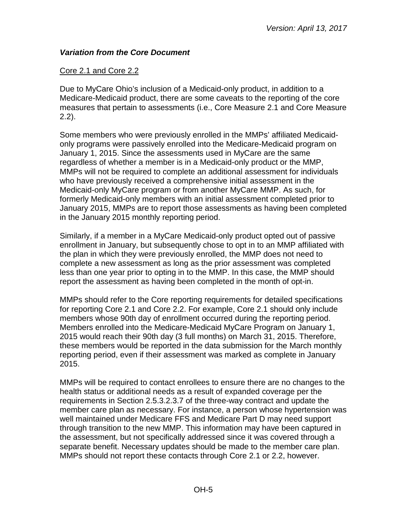## <span id="page-4-0"></span>*Variation from the Core Document*

## Core 2.1 and Core 2.2

Due to MyCare Ohio's inclusion of a Medicaid-only product, in addition to a Medicare-Medicaid product, there are some caveats to the reporting of the core measures that pertain to assessments (i.e., Core Measure 2.1 and Core Measure 2.2).

Some members who were previously enrolled in the MMPs' affiliated Medicaidonly programs were passively enrolled into the Medicare-Medicaid program on January 1, 2015. Since the assessments used in MyCare are the same regardless of whether a member is in a Medicaid-only product or the MMP, MMPs will not be required to complete an additional assessment for individuals who have previously received a comprehensive initial assessment in the Medicaid-only MyCare program or from another MyCare MMP. As such, for formerly Medicaid-only members with an initial assessment completed prior to January 2015, MMPs are to report those assessments as having been completed in the January 2015 monthly reporting period.

Similarly, if a member in a MyCare Medicaid-only product opted out of passive enrollment in January, but subsequently chose to opt in to an MMP affiliated with the plan in which they were previously enrolled, the MMP does not need to complete a new assessment as long as the prior assessment was completed less than one year prior to opting in to the MMP. In this case, the MMP should report the assessment as having been completed in the month of opt-in.

MMPs should refer to the Core reporting requirements for detailed specifications for reporting Core 2.1 and Core 2.2. For example, Core 2.1 should only include members whose 90th day of enrollment occurred during the reporting period. Members enrolled into the Medicare-Medicaid MyCare Program on January 1, 2015 would reach their 90th day (3 full months) on March 31, 2015. Therefore, these members would be reported in the data submission for the March monthly reporting period, even if their assessment was marked as complete in January 2015.

MMPs will be required to contact enrollees to ensure there are no changes to the health status or additional needs as a result of expanded coverage per the requirements in Section 2.5.3.2.3.7 of the three-way contract and update the member care plan as necessary. For instance, a person whose hypertension was well maintained under Medicare FFS and Medicare Part D may need support through transition to the new MMP. This information may have been captured in the assessment, but not specifically addressed since it was covered through a separate benefit. Necessary updates should be made to the member care plan. MMPs should not report these contacts through Core 2.1 or 2.2, however.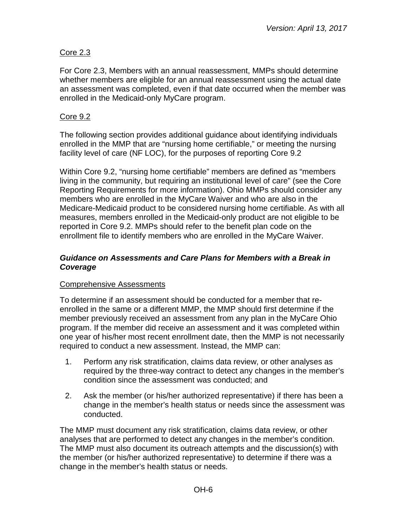# Core 2.3

For Core 2.3, Members with an annual reassessment, MMPs should determine whether members are eligible for an annual reassessment using the actual date an assessment was completed, even if that date occurred when the member was enrolled in the Medicaid-only MyCare program.

## Core 9.2

The following section provides additional guidance about identifying individuals enrolled in the MMP that are "nursing home certifiable," or meeting the nursing facility level of care (NF LOC), for the purposes of reporting Core 9.2

Within Core 9.2, "nursing home certifiable" members are defined as "members living in the community, but requiring an institutional level of care" (see the Core Reporting Requirements for more information). Ohio MMPs should consider any members who are enrolled in the MyCare Waiver and who are also in the Medicare-Medicaid product to be considered nursing home certifiable. As with all measures, members enrolled in the Medicaid-only product are not eligible to be reported in Core 9.2. MMPs should refer to the benefit plan code on the enrollment file to identify members who are enrolled in the MyCare Waiver.

#### <span id="page-5-0"></span>*Guidance on Assessments and Care Plans for Members with a Break in Coverage*

## Comprehensive Assessments

To determine if an assessment should be conducted for a member that reenrolled in the same or a different MMP, the MMP should first determine if the member previously received an assessment from any plan in the MyCare Ohio program. If the member did receive an assessment and it was completed within one year of his/her most recent enrollment date, then the MMP is not necessarily required to conduct a new assessment. Instead, the MMP can:

- 1. Perform any risk stratification, claims data review, or other analyses as required by the three-way contract to detect any changes in the member's condition since the assessment was conducted; and
- 2. Ask the member (or his/her authorized representative) if there has been a change in the member's health status or needs since the assessment was conducted.

The MMP must document any risk stratification, claims data review, or other analyses that are performed to detect any changes in the member's condition. The MMP must also document its outreach attempts and the discussion(s) with the member (or his/her authorized representative) to determine if there was a change in the member's health status or needs.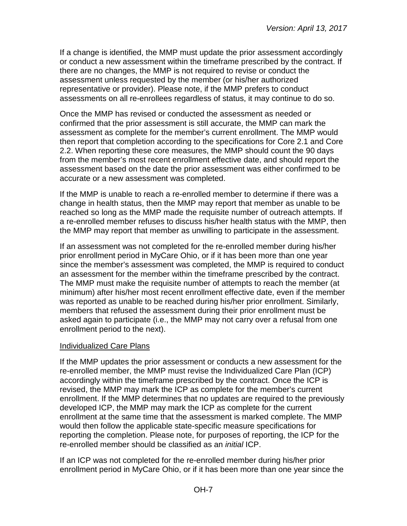If a change is identified, the MMP must update the prior assessment accordingly or conduct a new assessment within the timeframe prescribed by the contract. If there are no changes, the MMP is not required to revise or conduct the assessment unless requested by the member (or his/her authorized representative or provider). Please note, if the MMP prefers to conduct assessments on all re-enrollees regardless of status, it may continue to do so.

Once the MMP has revised or conducted the assessment as needed or confirmed that the prior assessment is still accurate, the MMP can mark the assessment as complete for the member's current enrollment. The MMP would then report that completion according to the specifications for Core 2.1 and Core 2.2. When reporting these core measures, the MMP should count the 90 days from the member's most recent enrollment effective date, and should report the assessment based on the date the prior assessment was either confirmed to be accurate or a new assessment was completed.

If the MMP is unable to reach a re-enrolled member to determine if there was a change in health status, then the MMP may report that member as unable to be reached so long as the MMP made the requisite number of outreach attempts. If a re-enrolled member refuses to discuss his/her health status with the MMP, then the MMP may report that member as unwilling to participate in the assessment.

If an assessment was not completed for the re-enrolled member during his/her prior enrollment period in MyCare Ohio, or if it has been more than one year since the member's assessment was completed, the MMP is required to conduct an assessment for the member within the timeframe prescribed by the contract. The MMP must make the requisite number of attempts to reach the member (at minimum) after his/her most recent enrollment effective date, even if the member was reported as unable to be reached during his/her prior enrollment. Similarly, members that refused the assessment during their prior enrollment must be asked again to participate (i.e., the MMP may not carry over a refusal from one enrollment period to the next).

#### Individualized Care Plans

If the MMP updates the prior assessment or conducts a new assessment for the re-enrolled member, the MMP must revise the Individualized Care Plan (ICP) accordingly within the timeframe prescribed by the contract. Once the ICP is revised, the MMP may mark the ICP as complete for the member's current enrollment. If the MMP determines that no updates are required to the previously developed ICP, the MMP may mark the ICP as complete for the current enrollment at the same time that the assessment is marked complete. The MMP would then follow the applicable state-specific measure specifications for reporting the completion. Please note, for purposes of reporting, the ICP for the re-enrolled member should be classified as an *initial* ICP.

If an ICP was not completed for the re-enrolled member during his/her prior enrollment period in MyCare Ohio, or if it has been more than one year since the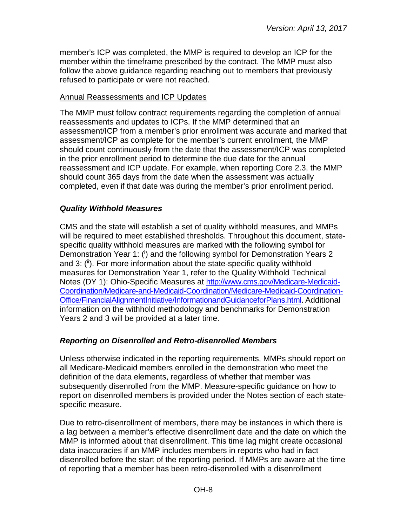member's ICP was completed, the MMP is required to develop an ICP for the member within the timeframe prescribed by the contract. The MMP must also follow the above guidance regarding reaching out to members that previously refused to participate or were not reached.

#### Annual Reassessments and ICP Updates

The MMP must follow contract requirements regarding the completion of annual reassessments and updates to ICPs. If the MMP determined that an assessment/ICP from a member's prior enrollment was accurate and marked that assessment/ICP as complete for the member's current enrollment, the MMP should count continuously from the date that the assessment/ICP was completed in the prior enrollment period to determine the due date for the annual reassessment and ICP update. For example, when reporting Core 2.3, the MMP should count 365 days from the date when the assessment was actually completed, even if that date was during the member's prior enrollment period.

## <span id="page-7-0"></span>*Quality Withhold Measures*

CMS and the state will establish a set of quality withhold measures, and MMPs will be required to meet established thresholds. Throughout this document, statespecific quality withhold measures are marked with the following symbol for Demonstration Year 1: (i) and the following symbol for Demonstration Years 2 and 3: (ii). For more information about the state-specific quality withhold measures for Demonstration Year 1, refer to the Quality Withhold Technical Notes (DY 1): Ohio-Specific Measures at [http://www.cms.gov/Medicare-Medicaid-](http://www.cms.gov/Medicare-Medicaid-Coordination/Medicare-and-Medicaid-Coordination/Medicare-Medicaid-Coordination-Office/FinancialAlignmentInitiative/InformationandGuidanceforPlans.html)[Coordination/Medicare-and-Medicaid-Coordination/Medicare-Medicaid-Coordination-](http://www.cms.gov/Medicare-Medicaid-Coordination/Medicare-and-Medicaid-Coordination/Medicare-Medicaid-Coordination-Office/FinancialAlignmentInitiative/InformationandGuidanceforPlans.html)[Office/FinancialAlignmentInitiative/InformationandGuidanceforPlans.html.](http://www.cms.gov/Medicare-Medicaid-Coordination/Medicare-and-Medicaid-Coordination/Medicare-Medicaid-Coordination-Office/FinancialAlignmentInitiative/InformationandGuidanceforPlans.html) Additional information on the withhold methodology and benchmarks for Demonstration Years 2 and 3 will be provided at a later time.

# <span id="page-7-1"></span>*Reporting on Disenrolled and Retro-disenrolled Members*

Unless otherwise indicated in the reporting requirements, MMPs should report on all Medicare-Medicaid members enrolled in the demonstration who meet the definition of the data elements, regardless of whether that member was subsequently disenrolled from the MMP. Measure-specific guidance on how to report on disenrolled members is provided under the Notes section of each statespecific measure.

Due to retro-disenrollment of members, there may be instances in which there is a lag between a member's effective disenrollment date and the date on which the MMP is informed about that disenrollment. This time lag might create occasional data inaccuracies if an MMP includes members in reports who had in fact disenrolled before the start of the reporting period. If MMPs are aware at the time of reporting that a member has been retro-disenrolled with a disenrollment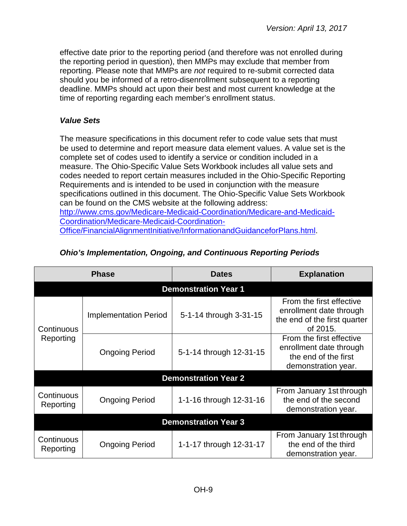effective date prior to the reporting period (and therefore was not enrolled during the reporting period in question), then MMPs may exclude that member from reporting. Please note that MMPs are *not* required to re-submit corrected data should you be informed of a retro-disenrollment subsequent to a reporting deadline. MMPs should act upon their best and most current knowledge at the time of reporting regarding each member's enrollment status.

## <span id="page-8-0"></span>*Value Sets*

The measure specifications in this document refer to code value sets that must be used to determine and report measure data element values. A value set is the complete set of codes used to identify a service or condition included in a measure. The Ohio-Specific Value Sets Workbook includes all value sets and codes needed to report certain measures included in the Ohio-Specific Reporting Requirements and is intended to be used in conjunction with the measure specifications outlined in this document. The Ohio-Specific Value Sets Workbook can be found on the CMS website at the following address: [http://www.cms.gov/Medicare-Medicaid-Coordination/Medicare-and-Medicaid-](http://www.cms.gov/Medicare-Medicaid-Coordination/Medicare-and-Medicaid-Coordination/Medicare-Medicaid-Coordination-Office/FinancialAlignmentInitiative/InformationandGuidanceforPlans.html)[Coordination/Medicare-Medicaid-Coordination-](http://www.cms.gov/Medicare-Medicaid-Coordination/Medicare-and-Medicaid-Coordination/Medicare-Medicaid-Coordination-Office/FinancialAlignmentInitiative/InformationandGuidanceforPlans.html)[Office/FinancialAlignmentInitiative/InformationandGuidanceforPlans.html.](http://www.cms.gov/Medicare-Medicaid-Coordination/Medicare-and-Medicaid-Coordination/Medicare-Medicaid-Coordination-Office/FinancialAlignmentInitiative/InformationandGuidanceforPlans.html)

| <b>Phase</b>                                     |                              | <b>Dates</b>                | <b>Explanation</b>                                                                                 |  |  |  |  |
|--------------------------------------------------|------------------------------|-----------------------------|----------------------------------------------------------------------------------------------------|--|--|--|--|
|                                                  | <b>Demonstration Year 1</b>  |                             |                                                                                                    |  |  |  |  |
| Continuous<br>Reporting                          | <b>Implementation Period</b> | 5-1-14 through 3-31-15      | From the first effective<br>enrollment date through<br>the end of the first quarter<br>of 2015.    |  |  |  |  |
|                                                  | <b>Ongoing Period</b>        | 5-1-14 through 12-31-15     | From the first effective<br>enrollment date through<br>the end of the first<br>demonstration year. |  |  |  |  |
|                                                  |                              | <b>Demonstration Year 2</b> |                                                                                                    |  |  |  |  |
| Continuous<br><b>Ongoing Period</b><br>Reporting |                              | 1-1-16 through 12-31-16     | From January 1st through<br>the end of the second<br>demonstration year.                           |  |  |  |  |
| <b>Demonstration Year 3</b>                      |                              |                             |                                                                                                    |  |  |  |  |
| Continuous<br>Reporting                          | <b>Ongoing Period</b>        | 1-1-17 through 12-31-17     | From January 1st through<br>the end of the third<br>demonstration year.                            |  |  |  |  |

## <span id="page-8-1"></span>*Ohio's Implementation, Ongoing, and Continuous Reporting Periods*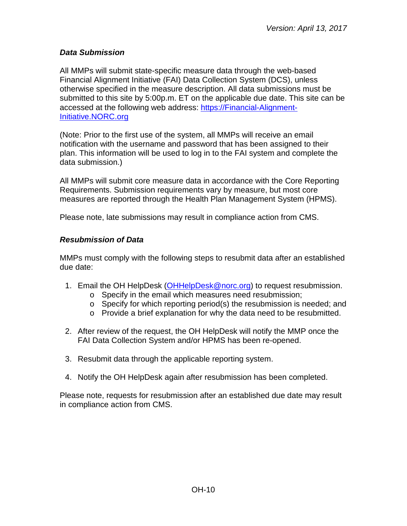# <span id="page-9-0"></span>*Data Submission*

All MMPs will submit state-specific measure data through the web-based Financial Alignment Initiative (FAI) Data Collection System (DCS), unless otherwise specified in the measure description. All data submissions must be submitted to this site by 5:00p.m. ET on the applicable due date. This site can be accessed at the following web address: [https://Financial-Alignment-](https://financial-alignment-initiative.norc.org/)[Initiative.NORC.org](https://financial-alignment-initiative.norc.org/)

(Note: Prior to the first use of the system, all MMPs will receive an email notification with the username and password that has been assigned to their plan. This information will be used to log in to the FAI system and complete the data submission.)

All MMPs will submit core measure data in accordance with the Core Reporting Requirements. Submission requirements vary by measure, but most core measures are reported through the Health Plan Management System (HPMS).

Please note, late submissions may result in compliance action from CMS.

## <span id="page-9-1"></span>*Resubmission of Data*

MMPs must comply with the following steps to resubmit data after an established due date:

- 1. Email the OH HelpDesk [\(OHHelpDesk@norc.org\)](mailto:OHHelpDesk@norc.org) to request resubmission.
	- o Specify in the email which measures need resubmission;
	- $\circ$  Specify for which reporting period(s) the resubmission is needed; and
	- o Provide a brief explanation for why the data need to be resubmitted.
- 2. After review of the request, the OH HelpDesk will notify the MMP once the FAI Data Collection System and/or HPMS has been re-opened.
- 3. Resubmit data through the applicable reporting system.
- 4. Notify the OH HelpDesk again after resubmission has been completed.

Please note, requests for resubmission after an established due date may result in compliance action from CMS.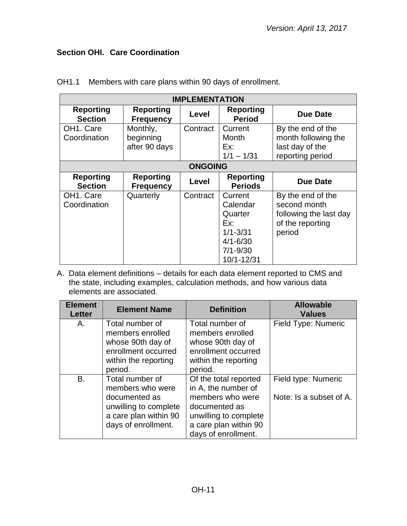# <span id="page-10-0"></span>**Section OHI. Care Coordination**

| <b>IMPLEMENTATION</b>                  |                                        |                |                                                                                                     |                                                                                           |  |  |
|----------------------------------------|----------------------------------------|----------------|-----------------------------------------------------------------------------------------------------|-------------------------------------------------------------------------------------------|--|--|
| <b>Reporting</b><br><b>Section</b>     | <b>Reporting</b><br><b>Frequency</b>   | Level          | <b>Reporting</b><br><b>Period</b>                                                                   | <b>Due Date</b>                                                                           |  |  |
| OH1. Care<br>Coordination              | Monthly,<br>beginning<br>after 90 days | Contract       | Current<br>Month<br>Ex:<br>$1/1 - 1/31$                                                             | By the end of the<br>month following the<br>last day of the<br>reporting period           |  |  |
|                                        |                                        | <b>ONGOING</b> |                                                                                                     |                                                                                           |  |  |
| <b>Reporting</b><br><b>Section</b>     | <b>Reporting</b><br><b>Frequency</b>   | Level          | <b>Reporting</b><br><b>Periods</b>                                                                  | <b>Due Date</b>                                                                           |  |  |
| OH <sub>1</sub> . Care<br>Coordination | Quarterly                              | Contract       | Current<br>Calendar<br>Quarter<br>Ex:<br>$1/1 - 3/31$<br>$4/1 - 6/30$<br>$7/1 - 9/30$<br>10/1-12/31 | By the end of the<br>second month<br>following the last day<br>of the reporting<br>period |  |  |

OH1.1 Members with care plans within 90 days of enrollment.

| <b>Element</b><br><b>Letter</b>   | <b>Element Name</b>   | <b>Definition</b>       | <b>Allowable</b><br><b>Values</b> |
|-----------------------------------|-----------------------|-------------------------|-----------------------------------|
| Α.                                | Total number of       | Total number of         | Field Type: Numeric               |
|                                   | members enrolled      | members enrolled        |                                   |
|                                   | whose 90th day of     | whose 90th day of       |                                   |
|                                   | enrollment occurred   | enrollment occurred     |                                   |
|                                   | within the reporting  | within the reporting    |                                   |
|                                   | period.               | period.                 |                                   |
| <b>B.</b>                         | Total number of       | Of the total reported   | Field type: Numeric               |
|                                   | members who were      | in A, the number of     |                                   |
| members who were<br>documented as |                       | Note: Is a subset of A. |                                   |
|                                   | unwilling to complete | documented as           |                                   |
|                                   | a care plan within 90 | unwilling to complete   |                                   |
|                                   | days of enrollment.   | a care plan within 90   |                                   |
|                                   |                       | days of enrollment.     |                                   |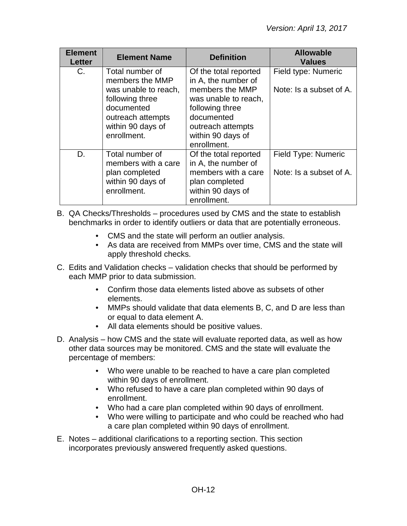| <b>Element</b><br><b>Letter</b> | <b>Element Name</b>                                                                                                                                  | <b>Definition</b>                                                                                                                                                                 | <b>Allowable</b><br><b>Values</b>              |
|---------------------------------|------------------------------------------------------------------------------------------------------------------------------------------------------|-----------------------------------------------------------------------------------------------------------------------------------------------------------------------------------|------------------------------------------------|
| C.                              | Total number of<br>members the MMP<br>was unable to reach,<br>following three<br>documented<br>outreach attempts<br>within 90 days of<br>enrollment. | Of the total reported<br>in A, the number of<br>members the MMP<br>was unable to reach,<br>following three<br>documented<br>outreach attempts<br>within 90 days of<br>enrollment. | Field type: Numeric<br>Note: Is a subset of A. |
| D.                              | Total number of<br>members with a care<br>plan completed<br>within 90 days of<br>enrollment.                                                         | Of the total reported<br>in A, the number of<br>members with a care<br>plan completed<br>within 90 days of<br>enrollment.                                                         | Field Type: Numeric<br>Note: Is a subset of A. |

- B. QA Checks/Thresholds procedures used by CMS and the state to establish benchmarks in order to identify outliers or data that are potentially erroneous.
	- CMS and the state will perform an outlier analysis.
	- As data are received from MMPs over time, CMS and the state will apply threshold checks.
- C. Edits and Validation checks validation checks that should be performed by each MMP prior to data submission.
	- Confirm those data elements listed above as subsets of other elements.
	- MMPs should validate that data elements B, C, and D are less than or equal to data element A.
	- All data elements should be positive values.
- D. Analysis how CMS and the state will evaluate reported data, as well as how other data sources may be monitored. CMS and the state will evaluate the percentage of members:
	- Who were unable to be reached to have a care plan completed within 90 days of enrollment.
	- Who refused to have a care plan completed within 90 days of enrollment.
	- Who had a care plan completed within 90 days of enrollment.
	- Who were willing to participate and who could be reached who had a care plan completed within 90 days of enrollment.
- E. Notes additional clarifications to a reporting section. This section incorporates previously answered frequently asked questions.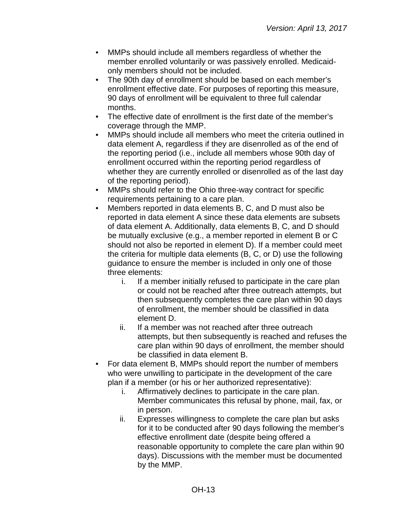- MMPs should include all members regardless of whether the member enrolled voluntarily or was passively enrolled. Medicaidonly members should not be included.
- The 90th day of enrollment should be based on each member's enrollment effective date. For purposes of reporting this measure, 90 days of enrollment will be equivalent to three full calendar months.
- The effective date of enrollment is the first date of the member's coverage through the MMP.
- MMPs should include all members who meet the criteria outlined in data element A, regardless if they are disenrolled as of the end of the reporting period (i.e., include all members whose 90th day of enrollment occurred within the reporting period regardless of whether they are currently enrolled or disenrolled as of the last day of the reporting period).
- MMPs should refer to the Ohio three-way contract for specific requirements pertaining to a care plan.
- Members reported in data elements B, C, and D must also be reported in data element A since these data elements are subsets of data element A. Additionally, data elements B, C, and D should be mutually exclusive (e.g., a member reported in element B or C should not also be reported in element D). If a member could meet the criteria for multiple data elements (B, C, or D) use the following guidance to ensure the member is included in only one of those three elements:
	- i. If a member initially refused to participate in the care plan or could not be reached after three outreach attempts, but then subsequently completes the care plan within 90 days of enrollment, the member should be classified in data element D.
	- ii. If a member was not reached after three outreach attempts, but then subsequently is reached and refuses the care plan within 90 days of enrollment, the member should be classified in data element B.
- For data element B, MMPs should report the number of members who were unwilling to participate in the development of the care plan if a member (or his or her authorized representative):
	- i. Affirmatively declines to participate in the care plan. Member communicates this refusal by phone, mail, fax, or in person.
	- ii. Expresses willingness to complete the care plan but asks for it to be conducted after 90 days following the member's effective enrollment date (despite being offered a reasonable opportunity to complete the care plan within 90 days). Discussions with the member must be documented by the MMP.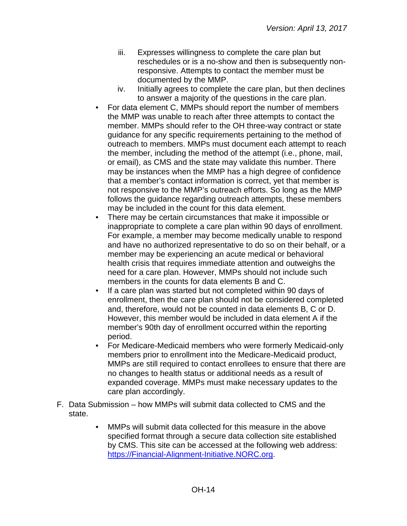- iii. Expresses willingness to complete the care plan but reschedules or is a no-show and then is subsequently nonresponsive. Attempts to contact the member must be documented by the MMP.
- iv. Initially agrees to complete the care plan, but then declines to answer a majority of the questions in the care plan.
- For data element C, MMPs should report the number of members the MMP was unable to reach after three attempts to contact the member. MMPs should refer to the OH three-way contract or state guidance for any specific requirements pertaining to the method of outreach to members. MMPs must document each attempt to reach the member, including the method of the attempt (i.e., phone, mail, or email), as CMS and the state may validate this number. There may be instances when the MMP has a high degree of confidence that a member's contact information is correct, yet that member is not responsive to the MMP's outreach efforts. So long as the MMP follows the guidance regarding outreach attempts, these members may be included in the count for this data element.
- There may be certain circumstances that make it impossible or inappropriate to complete a care plan within 90 days of enrollment. For example, a member may become medically unable to respond and have no authorized representative to do so on their behalf, or a member may be experiencing an acute medical or behavioral health crisis that requires immediate attention and outweighs the need for a care plan. However, MMPs should not include such members in the counts for data elements B and C.
- If a care plan was started but not completed within 90 days of enrollment, then the care plan should not be considered completed and, therefore, would not be counted in data elements B, C or D. However, this member would be included in data element A if the member's 90th day of enrollment occurred within the reporting period.
- For Medicare-Medicaid members who were formerly Medicaid-only members prior to enrollment into the Medicare-Medicaid product, MMPs are still required to contact enrollees to ensure that there are no changes to health status or additional needs as a result of expanded coverage. MMPs must make necessary updates to the care plan accordingly.
- F. Data Submission how MMPs will submit data collected to CMS and the state.
	- MMPs will submit data collected for this measure in the above specified format through a secure data collection site established by CMS. This site can be accessed at the following web address: [https://Financial-Alignment-Initiative.NORC.org.](https://financial-alignment-initiative.norc.org/)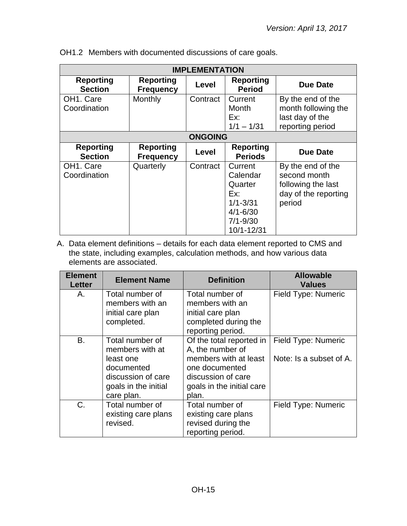| <b>IMPLEMENTATION</b>                  |                                      |                |                                                                                                     |                                                                                           |  |  |
|----------------------------------------|--------------------------------------|----------------|-----------------------------------------------------------------------------------------------------|-------------------------------------------------------------------------------------------|--|--|
| <b>Reporting</b><br><b>Section</b>     | <b>Reporting</b><br><b>Frequency</b> | Level          | <b>Reporting</b><br><b>Period</b>                                                                   | Due Date                                                                                  |  |  |
| OH <sub>1</sub> . Care<br>Coordination | Monthly                              | Contract       | Current<br>Month<br>Ex:<br>$1/1 - 1/31$                                                             | By the end of the<br>month following the<br>last day of the<br>reporting period           |  |  |
|                                        |                                      | <b>ONGOING</b> |                                                                                                     |                                                                                           |  |  |
| <b>Reporting</b><br><b>Section</b>     | <b>Reporting</b><br><b>Frequency</b> | Level          | <b>Reporting</b><br><b>Periods</b>                                                                  | <b>Due Date</b>                                                                           |  |  |
| OH <sub>1</sub> . Care<br>Coordination | Quarterly                            | Contract       | Current<br>Calendar<br>Quarter<br>Ex:<br>$1/1 - 3/31$<br>$4/1 - 6/30$<br>$7/1 - 9/30$<br>10/1-12/31 | By the end of the<br>second month<br>following the last<br>day of the reporting<br>period |  |  |

|  |  |  | OH1.2 Members with documented discussions of care goals. |  |  |  |  |
|--|--|--|----------------------------------------------------------|--|--|--|--|
|--|--|--|----------------------------------------------------------|--|--|--|--|

| <b>Element</b><br>Letter | <b>Element Name</b>                                                                                                       | <b>Definition</b>                                                                                                                                   | <b>Allowable</b><br><b>Values</b>              |
|--------------------------|---------------------------------------------------------------------------------------------------------------------------|-----------------------------------------------------------------------------------------------------------------------------------------------------|------------------------------------------------|
| А.                       | Total number of<br>members with an<br>initial care plan<br>completed.                                                     | Total number of<br>members with an<br>initial care plan<br>completed during the<br>reporting period.                                                | <b>Field Type: Numeric</b>                     |
| <b>B.</b>                | Total number of<br>members with at<br>least one<br>documented<br>discussion of care<br>goals in the initial<br>care plan. | Of the total reported in<br>A, the number of<br>members with at least<br>one documented<br>discussion of care<br>goals in the initial care<br>plan. | Field Type: Numeric<br>Note: Is a subset of A. |
| C.                       | Total number of<br>existing care plans<br>revised.                                                                        | Total number of<br>existing care plans<br>revised during the<br>reporting period.                                                                   | Field Type: Numeric                            |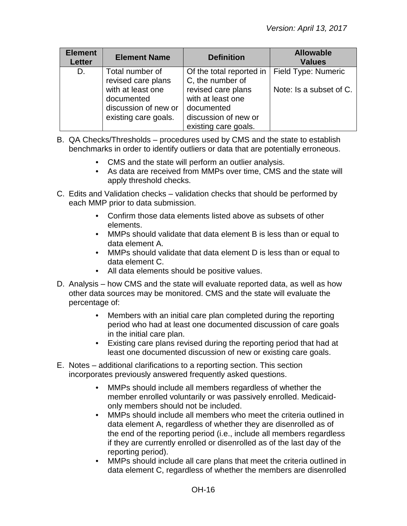| <b>Element</b><br><b>Letter</b> | <b>Element Name</b>                                                             | <b>Definition</b>                                                                                     | <b>Allowable</b><br><b>Values</b> |
|---------------------------------|---------------------------------------------------------------------------------|-------------------------------------------------------------------------------------------------------|-----------------------------------|
| D.                              | Total number of<br>revised care plans                                           | Of the total reported in<br>C, the number of                                                          | Field Type: Numeric               |
|                                 | with at least one<br>documented<br>discussion of new or<br>existing care goals. | revised care plans<br>with at least one<br>documented<br>discussion of new or<br>existing care goals. | Note: Is a subset of C.           |

- B. QA Checks/Thresholds procedures used by CMS and the state to establish benchmarks in order to identify outliers or data that are potentially erroneous.
	- CMS and the state will perform an outlier analysis.
	- As data are received from MMPs over time, CMS and the state will apply threshold checks.
- C. Edits and Validation checks validation checks that should be performed by each MMP prior to data submission.
	- Confirm those data elements listed above as subsets of other elements.
	- MMPs should validate that data element B is less than or equal to data element A.
	- MMPs should validate that data element D is less than or equal to data element C.
	- All data elements should be positive values.
- D. Analysis how CMS and the state will evaluate reported data, as well as how other data sources may be monitored. CMS and the state will evaluate the percentage of:
	- Members with an initial care plan completed during the reporting period who had at least one documented discussion of care goals in the initial care plan.
	- Existing care plans revised during the reporting period that had at least one documented discussion of new or existing care goals.
- E. Notes additional clarifications to a reporting section. This section incorporates previously answered frequently asked questions.
	- MMPs should include all members regardless of whether the member enrolled voluntarily or was passively enrolled. Medicaidonly members should not be included.
	- MMPs should include all members who meet the criteria outlined in data element A, regardless of whether they are disenrolled as of the end of the reporting period (i.e., include all members regardless if they are currently enrolled or disenrolled as of the last day of the reporting period).
	- MMPs should include all care plans that meet the criteria outlined in data element C, regardless of whether the members are disenrolled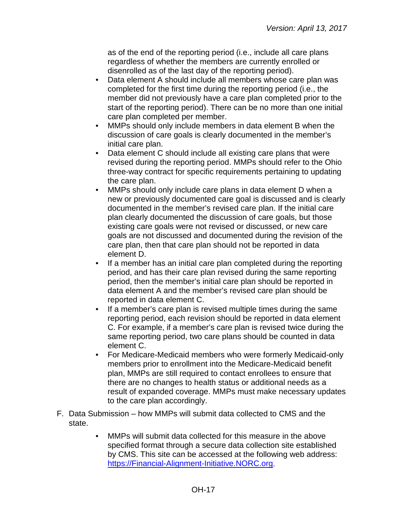as of the end of the reporting period (i.e., include all care plans regardless of whether the members are currently enrolled or disenrolled as of the last day of the reporting period).

- Data element A should include all members whose care plan was completed for the first time during the reporting period (i.e., the member did not previously have a care plan completed prior to the start of the reporting period). There can be no more than one initial care plan completed per member.
- MMPs should only include members in data element B when the discussion of care goals is clearly documented in the member's initial care plan.
- Data element C should include all existing care plans that were revised during the reporting period. MMPs should refer to the Ohio three-way contract for specific requirements pertaining to updating the care plan.
- MMPs should only include care plans in data element D when a new or previously documented care goal is discussed and is clearly documented in the member's revised care plan. If the initial care plan clearly documented the discussion of care goals, but those existing care goals were not revised or discussed, or new care goals are not discussed and documented during the revision of the care plan, then that care plan should not be reported in data element D.
- If a member has an initial care plan completed during the reporting period, and has their care plan revised during the same reporting period, then the member's initial care plan should be reported in data element A and the member's revised care plan should be reported in data element C.
- If a member's care plan is revised multiple times during the same reporting period, each revision should be reported in data element C. For example, if a member's care plan is revised twice during the same reporting period, two care plans should be counted in data element C.
- For Medicare-Medicaid members who were formerly Medicaid-only members prior to enrollment into the Medicare-Medicaid benefit plan, MMPs are still required to contact enrollees to ensure that there are no changes to health status or additional needs as a result of expanded coverage. MMPs must make necessary updates to the care plan accordingly.
- F. Data Submission how MMPs will submit data collected to CMS and the state.
	- MMPs will submit data collected for this measure in the above specified format through a secure data collection site established by CMS. This site can be accessed at the following web address: [https://Financial-Alignment-Initiative.NORC.org.](https://financial-alignment-initiative.norc.org/)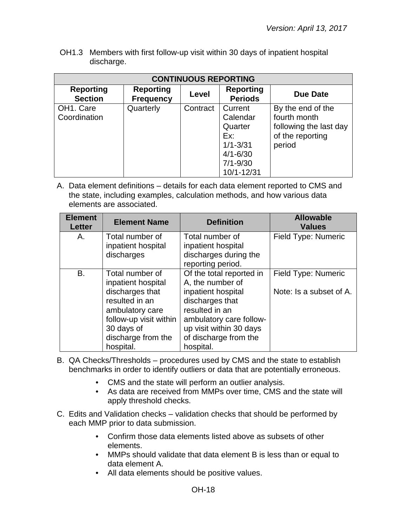OH1.3 Members with first follow-up visit within 30 days of inpatient hospital discharge.

| <b>CONTINUOUS REPORTING</b>            |                                      |          |                                     |                                                             |  |  |  |
|----------------------------------------|--------------------------------------|----------|-------------------------------------|-------------------------------------------------------------|--|--|--|
| <b>Reporting</b><br><b>Section</b>     | <b>Reporting</b><br><b>Frequency</b> | Level    | <b>Reporting</b><br><b>Periods</b>  | Due Date                                                    |  |  |  |
| OH <sub>1</sub> . Care<br>Coordination | Quarterly                            | Contract | Current<br>Calendar<br>Quarter      | By the end of the<br>fourth month<br>following the last day |  |  |  |
|                                        |                                      |          | Ex:<br>$1/1 - 3/31$<br>$4/1 - 6/30$ | of the reporting<br>period                                  |  |  |  |
|                                        |                                      |          | $7/1 - 9/30$<br>10/1-12/31          |                                                             |  |  |  |

| <b>Element</b><br><b>Letter</b> | <b>Element Name</b>    | <b>Definition</b>        | <b>Allowable</b><br><b>Values</b> |
|---------------------------------|------------------------|--------------------------|-----------------------------------|
| Α.                              | Total number of        | Total number of          | Field Type: Numeric               |
|                                 | inpatient hospital     | inpatient hospital       |                                   |
|                                 | discharges             | discharges during the    |                                   |
|                                 |                        | reporting period.        |                                   |
| B.                              | Total number of        | Of the total reported in | Field Type: Numeric               |
|                                 | inpatient hospital     | A, the number of         |                                   |
|                                 | discharges that        | inpatient hospital       | Note: Is a subset of A.           |
|                                 | resulted in an         | discharges that          |                                   |
|                                 | ambulatory care        | resulted in an           |                                   |
|                                 | follow-up visit within | ambulatory care follow-  |                                   |
|                                 | 30 days of             | up visit within 30 days  |                                   |
|                                 | discharge from the     | of discharge from the    |                                   |
|                                 | hospital.              | hospital.                |                                   |

- B. QA Checks/Thresholds procedures used by CMS and the state to establish benchmarks in order to identify outliers or data that are potentially erroneous.
	- CMS and the state will perform an outlier analysis.
	- As data are received from MMPs over time, CMS and the state will apply threshold checks.
- C. Edits and Validation checks validation checks that should be performed by each MMP prior to data submission.
	- Confirm those data elements listed above as subsets of other elements.
	- MMPs should validate that data element B is less than or equal to data element A.
	- All data elements should be positive values.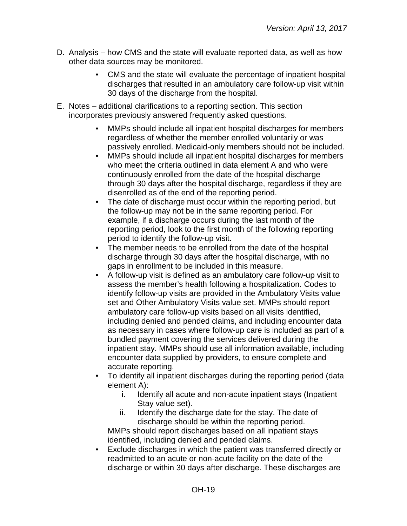- D. Analysis how CMS and the state will evaluate reported data, as well as how other data sources may be monitored.
	- CMS and the state will evaluate the percentage of inpatient hospital discharges that resulted in an ambulatory care follow-up visit within 30 days of the discharge from the hospital.
- E. Notes additional clarifications to a reporting section. This section incorporates previously answered frequently asked questions.
	- MMPs should include all inpatient hospital discharges for members regardless of whether the member enrolled voluntarily or was passively enrolled. Medicaid-only members should not be included.
	- MMPs should include all inpatient hospital discharges for members who meet the criteria outlined in data element A and who were continuously enrolled from the date of the hospital discharge through 30 days after the hospital discharge, regardless if they are disenrolled as of the end of the reporting period.
	- The date of discharge must occur within the reporting period, but the follow-up may not be in the same reporting period. For example, if a discharge occurs during the last month of the reporting period, look to the first month of the following reporting period to identify the follow-up visit.
	- The member needs to be enrolled from the date of the hospital discharge through 30 days after the hospital discharge, with no gaps in enrollment to be included in this measure.
	- A follow-up visit is defined as an ambulatory care follow-up visit to assess the member's health following a hospitalization. Codes to identify follow-up visits are provided in the Ambulatory Visits value set and Other Ambulatory Visits value set. MMPs should report ambulatory care follow-up visits based on all visits identified, including denied and pended claims, and including encounter data as necessary in cases where follow-up care is included as part of a bundled payment covering the services delivered during the inpatient stay. MMPs should use all information available, including encounter data supplied by providers, to ensure complete and accurate reporting.
	- To identify all inpatient discharges during the reporting period (data element A):
		- i. Identify all acute and non-acute inpatient stays (Inpatient Stay value set).
		- ii. Identify the discharge date for the stay. The date of discharge should be within the reporting period.

MMPs should report discharges based on all inpatient stays identified, including denied and pended claims.

• Exclude discharges in which the patient was transferred directly or readmitted to an acute or non-acute facility on the date of the discharge or within 30 days after discharge. These discharges are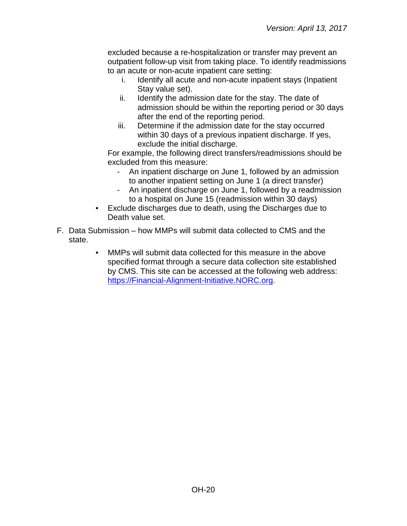excluded because a re-hospitalization or transfer may prevent an outpatient follow-up visit from taking place. To identify readmissions to an acute or non-acute inpatient care setting:

- i. Identify all acute and non-acute inpatient stays (Inpatient Stay value set).
- ii. Identify the admission date for the stay. The date of admission should be within the reporting period or 30 days after the end of the reporting period.
- iii. Determine if the admission date for the stay occurred within 30 days of a previous inpatient discharge. If yes, exclude the initial discharge.

For example, the following direct transfers/readmissions should be excluded from this measure:

- An inpatient discharge on June 1, followed by an admission to another inpatient setting on June 1 (a direct transfer)
- An inpatient discharge on June 1, followed by a readmission to a hospital on June 15 (readmission within 30 days)
- Exclude discharges due to death, using the Discharges due to Death value set.
- F. Data Submission how MMPs will submit data collected to CMS and the state.
	- MMPs will submit data collected for this measure in the above specified format through a secure data collection site established by CMS. This site can be accessed at the following web address: [https://Financial-Alignment-Initiative.NORC.org.](https://financial-alignment-initiative.norc.org/)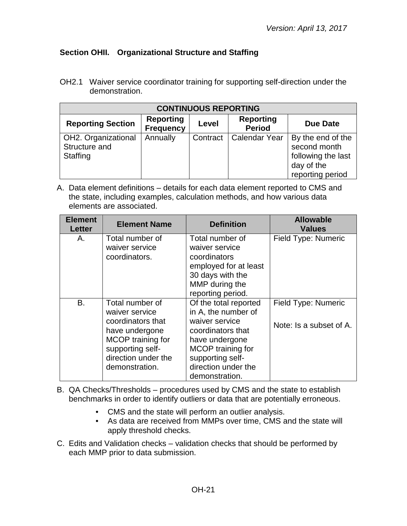# <span id="page-20-0"></span>**Section OHII. Organizational Structure and Staffing**

OH2.1 Waiver service coordinator training for supporting self-direction under the demonstration.

| <b>CONTINUOUS REPORTING</b>                      |                                      |          |                                   |                                                                                           |  |  |
|--------------------------------------------------|--------------------------------------|----------|-----------------------------------|-------------------------------------------------------------------------------------------|--|--|
| <b>Reporting Section</b>                         | <b>Reporting</b><br><b>Frequency</b> | Level    | <b>Reporting</b><br><b>Period</b> | <b>Due Date</b>                                                                           |  |  |
| OH2. Organizational<br>Structure and<br>Staffing | Annually                             | Contract | <b>Calendar Year</b>              | By the end of the<br>second month<br>following the last<br>day of the<br>reporting period |  |  |

| <b>Element</b><br><b>Letter</b> | <b>Element Name</b>                                                                                                                                        | <b>Definition</b>                                                                                                                                                                       | <b>Allowable</b><br><b>Values</b>                     |
|---------------------------------|------------------------------------------------------------------------------------------------------------------------------------------------------------|-----------------------------------------------------------------------------------------------------------------------------------------------------------------------------------------|-------------------------------------------------------|
| Α.                              | Total number of<br>waiver service<br>coordinators.                                                                                                         | Total number of<br>waiver service<br>coordinators<br>employed for at least<br>30 days with the<br>MMP during the<br>reporting period.                                                   | Field Type: Numeric                                   |
| <b>B.</b>                       | Total number of<br>waiver service<br>coordinators that<br>have undergone<br>MCOP training for<br>supporting self-<br>direction under the<br>demonstration. | Of the total reported<br>in A, the number of<br>waiver service<br>coordinators that<br>have undergone<br>MCOP training for<br>supporting self-<br>direction under the<br>demonstration. | <b>Field Type: Numeric</b><br>Note: Is a subset of A. |

- B. QA Checks/Thresholds procedures used by CMS and the state to establish benchmarks in order to identify outliers or data that are potentially erroneous.
	- CMS and the state will perform an outlier analysis.
	- As data are received from MMPs over time, CMS and the state will apply threshold checks.
- C. Edits and Validation checks validation checks that should be performed by each MMP prior to data submission.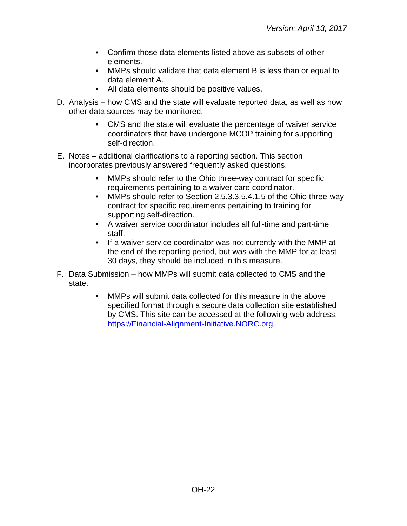- Confirm those data elements listed above as subsets of other elements.
- MMPs should validate that data element B is less than or equal to data element A.
- All data elements should be positive values.
- D. Analysis how CMS and the state will evaluate reported data, as well as how other data sources may be monitored.
	- CMS and the state will evaluate the percentage of waiver service coordinators that have undergone MCOP training for supporting self-direction.
- E. Notes additional clarifications to a reporting section. This section incorporates previously answered frequently asked questions.
	- MMPs should refer to the Ohio three-way contract for specific requirements pertaining to a waiver care coordinator.
	- MMPs should refer to Section 2.5.3.3.5.4.1.5 of the Ohio three-way contract for specific requirements pertaining to training for supporting self-direction.
	- A waiver service coordinator includes all full-time and part-time staff.
	- If a waiver service coordinator was not currently with the MMP at the end of the reporting period, but was with the MMP for at least 30 days, they should be included in this measure.
- F. Data Submission how MMPs will submit data collected to CMS and the state.
	- MMPs will submit data collected for this measure in the above specified format through a secure data collection site established by CMS. This site can be accessed at the following web address: [https://Financial-Alignment-Initiative.NORC.org.](https://financial-alignment-initiative.norc.org/)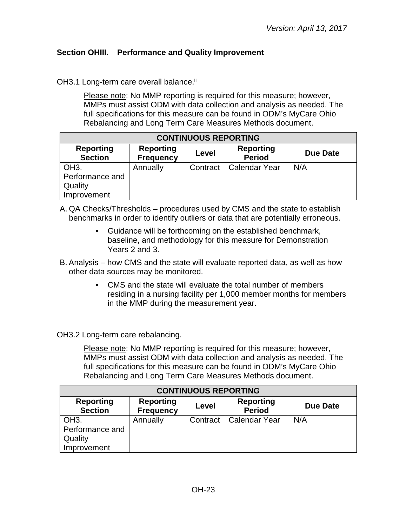## <span id="page-22-0"></span>**Section OHIII. Performance and Quality Improvement**

OH3.1 Long-term care overall balance.<sup>ii</sup>

Please note: No MMP reporting is required for this measure; however, MMPs must assist ODM with data collection and analysis as needed. The full specifications for this measure can be found in ODM's MyCare Ohio Rebalancing and Long Term Care Measures Methods document.

| <b>CONTINUOUS REPORTING</b>        |                                      |          |                                   |          |  |
|------------------------------------|--------------------------------------|----------|-----------------------------------|----------|--|
| <b>Reporting</b><br><b>Section</b> | <b>Reporting</b><br><b>Frequency</b> | Level    | <b>Reporting</b><br><b>Period</b> | Due Date |  |
| OH <sub>3</sub> .                  | Annually                             | Contract | <b>Calendar Year</b>              | N/A      |  |
| Performance and                    |                                      |          |                                   |          |  |
| Quality                            |                                      |          |                                   |          |  |
| Improvement                        |                                      |          |                                   |          |  |

- A. QA Checks/Thresholds procedures used by CMS and the state to establish benchmarks in order to identify outliers or data that are potentially erroneous.
	- Guidance will be forthcoming on the established benchmark, baseline, and methodology for this measure for Demonstration Years 2 and 3.
- B. Analysis how CMS and the state will evaluate reported data, as well as how other data sources may be monitored.
	- CMS and the state will evaluate the total number of members residing in a nursing facility per 1,000 member months for members in the MMP during the measurement year.

OH3.2 Long-term care rebalancing.

Please note: No MMP reporting is required for this measure; however, MMPs must assist ODM with data collection and analysis as needed. The full specifications for this measure can be found in ODM's MyCare Ohio Rebalancing and Long Term Care Measures Methods document.

| <b>CONTINUOUS REPORTING</b>                                                                                                                 |          |  |                          |     |  |
|---------------------------------------------------------------------------------------------------------------------------------------------|----------|--|--------------------------|-----|--|
| <b>Reporting</b><br><b>Reporting</b><br><b>Reporting</b><br><b>Due Date</b><br>Level<br><b>Period</b><br><b>Section</b><br><b>Frequency</b> |          |  |                          |     |  |
| OH <sub>3</sub> .                                                                                                                           | Annually |  | Contract   Calendar Year | N/A |  |
| Performance and                                                                                                                             |          |  |                          |     |  |
| Quality                                                                                                                                     |          |  |                          |     |  |
| Improvement                                                                                                                                 |          |  |                          |     |  |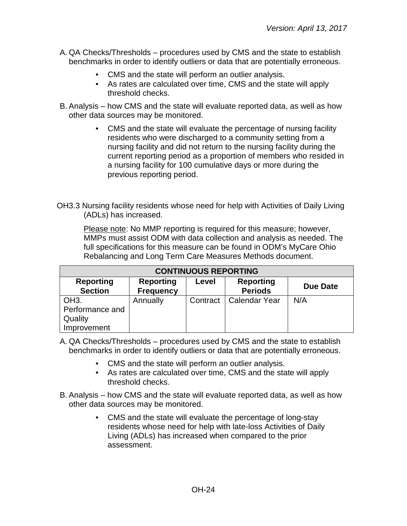- A. QA Checks/Thresholds procedures used by CMS and the state to establish benchmarks in order to identify outliers or data that are potentially erroneous.
	- CMS and the state will perform an outlier analysis.
	- As rates are calculated over time, CMS and the state will apply threshold checks.
- B. Analysis how CMS and the state will evaluate reported data, as well as how other data sources may be monitored.
	- CMS and the state will evaluate the percentage of nursing facility residents who were discharged to a community setting from a nursing facility and did not return to the nursing facility during the current reporting period as a proportion of members who resided in a nursing facility for 100 cumulative days or more during the previous reporting period.
- OH3.3 Nursing facility residents whose need for help with Activities of Daily Living (ADLs) has increased.

Please note: No MMP reporting is required for this measure; however, MMPs must assist ODM with data collection and analysis as needed. The full specifications for this measure can be found in ODM's MyCare Ohio Rebalancing and Long Term Care Measures Methods document.

| <b>CONTINUOUS REPORTING</b>                                    |                                      |          |                                    |          |
|----------------------------------------------------------------|--------------------------------------|----------|------------------------------------|----------|
| <b>Reporting</b><br><b>Section</b>                             | <b>Reporting</b><br><b>Frequency</b> | Level    | <b>Reporting</b><br><b>Periods</b> | Due Date |
| OH <sub>3</sub> .<br>Performance and<br>Quality<br>Improvement | Annually                             | Contract | <b>Calendar Year</b>               | N/A      |

- A. QA Checks/Thresholds procedures used by CMS and the state to establish benchmarks in order to identify outliers or data that are potentially erroneous.
	- CMS and the state will perform an outlier analysis.
	- As rates are calculated over time, CMS and the state will apply threshold checks.
- B. Analysis how CMS and the state will evaluate reported data, as well as how other data sources may be monitored.
	- CMS and the state will evaluate the percentage of long-stay residents whose need for help with late-loss Activities of Daily Living (ADLs) has increased when compared to the prior assessment.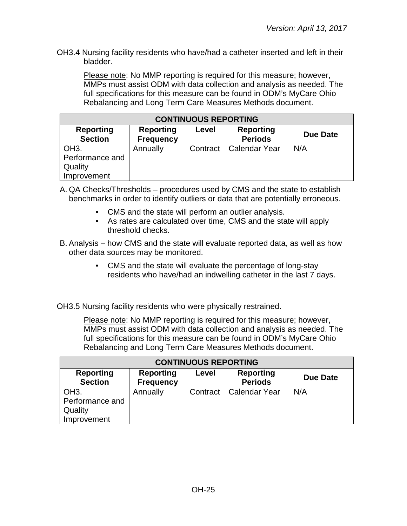OH3.4 Nursing facility residents who have/had a catheter inserted and left in their bladder.

Please note: No MMP reporting is required for this measure; however, MMPs must assist ODM with data collection and analysis as needed. The full specifications for this measure can be found in ODM's MyCare Ohio Rebalancing and Long Term Care Measures Methods document.

| <b>CONTINUOUS REPORTING</b>                                    |                                      |          |                                    |                 |
|----------------------------------------------------------------|--------------------------------------|----------|------------------------------------|-----------------|
| <b>Reporting</b><br><b>Section</b>                             | <b>Reporting</b><br><b>Frequency</b> | Level    | <b>Reporting</b><br><b>Periods</b> | <b>Due Date</b> |
| OH <sub>3</sub> .<br>Performance and<br>Quality<br>Improvement | Annually                             | Contract | <b>Calendar Year</b>               | N/A             |

A. QA Checks/Thresholds – procedures used by CMS and the state to establish benchmarks in order to identify outliers or data that are potentially erroneous.

- CMS and the state will perform an outlier analysis.
- As rates are calculated over time, CMS and the state will apply threshold checks.
- B. Analysis how CMS and the state will evaluate reported data, as well as how other data sources may be monitored.
	- CMS and the state will evaluate the percentage of long-stay residents who have/had an indwelling catheter in the last 7 days.

OH3.5 Nursing facility residents who were physically restrained.

Please note: No MMP reporting is required for this measure; however, MMPs must assist ODM with data collection and analysis as needed. The full specifications for this measure can be found in ODM's MyCare Ohio Rebalancing and Long Term Care Measures Methods document.

| <b>CONTINUOUS REPORTING</b>                                    |                                      |          |                                    |                 |  |
|----------------------------------------------------------------|--------------------------------------|----------|------------------------------------|-----------------|--|
| <b>Reporting</b><br><b>Section</b>                             | <b>Reporting</b><br><b>Frequency</b> | Level    | <b>Reporting</b><br><b>Periods</b> | <b>Due Date</b> |  |
| OH <sub>3</sub> .<br>Performance and<br>Quality<br>Improvement | Annually                             | Contract | l Calendar Year                    | N/A             |  |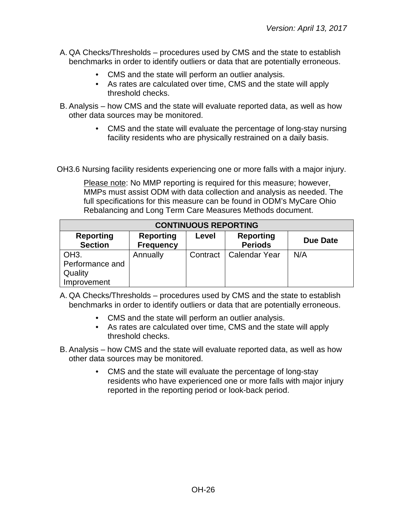- A. QA Checks/Thresholds procedures used by CMS and the state to establish benchmarks in order to identify outliers or data that are potentially erroneous.
	- CMS and the state will perform an outlier analysis.
	- As rates are calculated over time, CMS and the state will apply threshold checks.
- B. Analysis how CMS and the state will evaluate reported data, as well as how other data sources may be monitored.
	- CMS and the state will evaluate the percentage of long-stay nursing facility residents who are physically restrained on a daily basis.

OH3.6 Nursing facility residents experiencing one or more falls with a major injury.

Please note: No MMP reporting is required for this measure; however, MMPs must assist ODM with data collection and analysis as needed. The full specifications for this measure can be found in ODM's MyCare Ohio Rebalancing and Long Term Care Measures Methods document.

| <b>CONTINUOUS REPORTING</b>                                    |                                      |          |                                    |          |  |
|----------------------------------------------------------------|--------------------------------------|----------|------------------------------------|----------|--|
| <b>Reporting</b><br><b>Section</b>                             | <b>Reporting</b><br><b>Frequency</b> | Level    | <b>Reporting</b><br><b>Periods</b> | Due Date |  |
| OH <sub>3</sub> .<br>Performance and<br>Quality<br>Improvement | Annually                             | Contract | <b>Calendar Year</b>               | N/A      |  |

- A. QA Checks/Thresholds procedures used by CMS and the state to establish benchmarks in order to identify outliers or data that are potentially erroneous.
	- CMS and the state will perform an outlier analysis.
	- As rates are calculated over time, CMS and the state will apply threshold checks.
- B. Analysis how CMS and the state will evaluate reported data, as well as how other data sources may be monitored.
	- CMS and the state will evaluate the percentage of long-stay residents who have experienced one or more falls with major injury reported in the reporting period or look-back period.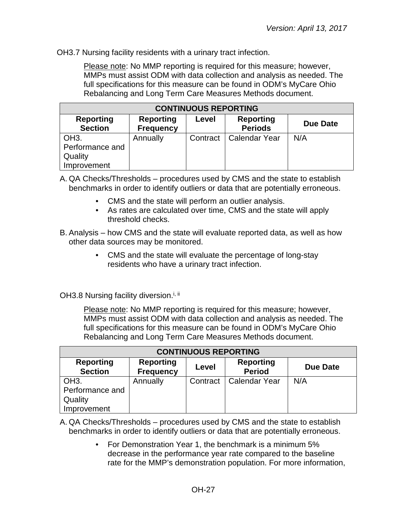OH3.7 Nursing facility residents with a urinary tract infection.

Please note: No MMP reporting is required for this measure; however, MMPs must assist ODM with data collection and analysis as needed. The full specifications for this measure can be found in ODM's MyCare Ohio Rebalancing and Long Term Care Measures Methods document.

| <b>CONTINUOUS REPORTING</b>                                                                                                           |          |          |                      |     |  |
|---------------------------------------------------------------------------------------------------------------------------------------|----------|----------|----------------------|-----|--|
| <b>Reporting</b><br><b>Reporting</b><br><b>Reporting</b><br>Level<br>Due Date<br><b>Section</b><br><b>Periods</b><br><b>Frequency</b> |          |          |                      |     |  |
| OH <sub>3</sub> .<br>Performance and<br>Quality<br>Improvement                                                                        | Annually | Contract | <b>Calendar Year</b> | N/A |  |

A. QA Checks/Thresholds – procedures used by CMS and the state to establish benchmarks in order to identify outliers or data that are potentially erroneous.

- CMS and the state will perform an outlier analysis.
- As rates are calculated over time, CMS and the state will apply threshold checks.
- B. Analysis how CMS and the state will evaluate reported data, as well as how other data sources may be monitored.
	- CMS and the state will evaluate the percentage of long-stay residents who have a urinary tract infection.

OH3.8 Nursing facility diversion.<sup>i, ii</sup>

Please note: No MMP reporting is required for this measure; however, MMPs must assist ODM with data collection and analysis as needed. The full specifications for this measure can be found in ODM's MyCare Ohio Rebalancing and Long Term Care Measures Methods document.

| <b>CONTINUOUS REPORTING</b>                                                                                                                 |          |          |                      |     |  |
|---------------------------------------------------------------------------------------------------------------------------------------------|----------|----------|----------------------|-----|--|
| <b>Reporting</b><br><b>Reporting</b><br><b>Reporting</b><br><b>Due Date</b><br>Level<br><b>Period</b><br><b>Section</b><br><b>Frequency</b> |          |          |                      |     |  |
| OH <sub>3</sub> .                                                                                                                           | Annually | Contract | <b>Calendar Year</b> | N/A |  |
| Performance and                                                                                                                             |          |          |                      |     |  |
| Quality                                                                                                                                     |          |          |                      |     |  |
| Improvement                                                                                                                                 |          |          |                      |     |  |

A. QA Checks/Thresholds – procedures used by CMS and the state to establish benchmarks in order to identify outliers or data that are potentially erroneous.

> • For Demonstration Year 1, the benchmark is a minimum 5% decrease in the performance year rate compared to the baseline rate for the MMP's demonstration population. For more information,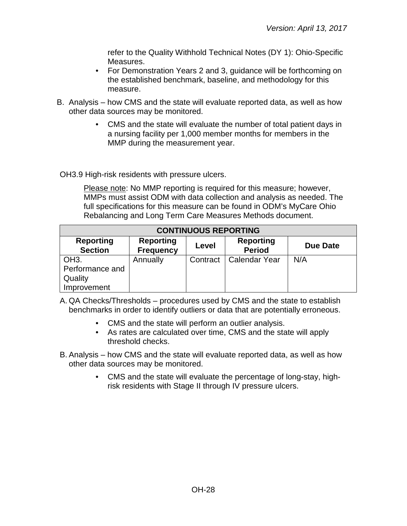refer to the Quality Withhold Technical Notes (DY 1): Ohio-Specific Measures.

- For Demonstration Years 2 and 3, guidance will be forthcoming on the established benchmark, baseline, and methodology for this measure.
- B. Analysis how CMS and the state will evaluate reported data, as well as how other data sources may be monitored.
	- CMS and the state will evaluate the number of total patient days in a nursing facility per 1,000 member months for members in the MMP during the measurement year.

OH3.9 High-risk residents with pressure ulcers.

Please note: No MMP reporting is required for this measure; however, MMPs must assist ODM with data collection and analysis as needed. The full specifications for this measure can be found in ODM's MyCare Ohio Rebalancing and Long Term Care Measures Methods document.

| <b>CONTINUOUS REPORTING</b>                                                                                                          |          |          |                      |     |  |
|--------------------------------------------------------------------------------------------------------------------------------------|----------|----------|----------------------|-----|--|
| <b>Reporting</b><br><b>Reporting</b><br><b>Reporting</b><br>Due Date<br>Level<br><b>Section</b><br><b>Period</b><br><b>Frequency</b> |          |          |                      |     |  |
| OH <sub>3</sub> .                                                                                                                    | Annually | Contract | <b>Calendar Year</b> | N/A |  |
| Performance and                                                                                                                      |          |          |                      |     |  |
| Quality                                                                                                                              |          |          |                      |     |  |
| Improvement                                                                                                                          |          |          |                      |     |  |

A. QA Checks/Thresholds – procedures used by CMS and the state to establish benchmarks in order to identify outliers or data that are potentially erroneous.

- CMS and the state will perform an outlier analysis.
- As rates are calculated over time, CMS and the state will apply threshold checks.
- B. Analysis how CMS and the state will evaluate reported data, as well as how other data sources may be monitored.
	- CMS and the state will evaluate the percentage of long-stay, highrisk residents with Stage II through IV pressure ulcers.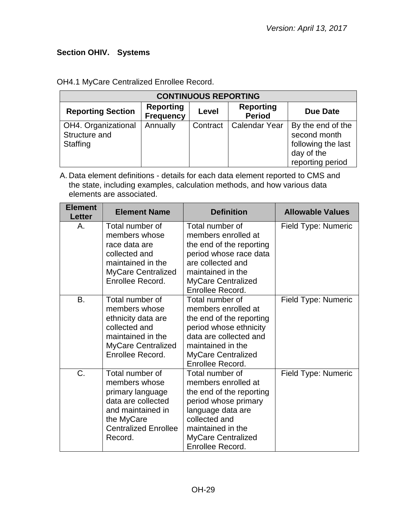# <span id="page-28-0"></span>**Section OHIV. Systems**

| <b>CONTINUOUS REPORTING</b>                      |                                      |          |                                   |                                                                                           |
|--------------------------------------------------|--------------------------------------|----------|-----------------------------------|-------------------------------------------------------------------------------------------|
| <b>Reporting Section</b>                         | <b>Reporting</b><br><b>Frequency</b> | Level    | <b>Reporting</b><br><b>Period</b> | <b>Due Date</b>                                                                           |
| OH4. Organizational<br>Structure and<br>Staffing | Annually                             | Contract | <b>Calendar Year</b>              | By the end of the<br>second month<br>following the last<br>day of the<br>reporting period |

OH4.1 MyCare Centralized Enrollee Record.

| <b>Element</b><br><b>Letter</b> | <b>Element Name</b>                                                                                                                                     | <b>Definition</b>                                                                                                                                                                               | <b>Allowable Values</b> |
|---------------------------------|---------------------------------------------------------------------------------------------------------------------------------------------------------|-------------------------------------------------------------------------------------------------------------------------------------------------------------------------------------------------|-------------------------|
| Α.                              | Total number of<br>members whose<br>race data are<br>collected and<br>maintained in the<br><b>MyCare Centralized</b><br>Enrollee Record.                | Total number of<br>members enrolled at<br>the end of the reporting<br>period whose race data<br>are collected and<br>maintained in the<br><b>MyCare Centralized</b><br>Enrollee Record.         | Field Type: Numeric     |
| B.                              | Total number of<br>members whose<br>ethnicity data are<br>collected and<br>maintained in the<br><b>MyCare Centralized</b><br>Enrollee Record.           | Total number of<br>members enrolled at<br>the end of the reporting<br>period whose ethnicity<br>data are collected and<br>maintained in the<br><b>MyCare Centralized</b><br>Enrollee Record.    | Field Type: Numeric     |
| C.                              | Total number of<br>members whose<br>primary language<br>data are collected<br>and maintained in<br>the MyCare<br><b>Centralized Enrollee</b><br>Record. | Total number of<br>members enrolled at<br>the end of the reporting<br>period whose primary<br>language data are<br>collected and<br>maintained in the<br>MyCare Centralized<br>Enrollee Record. | Field Type: Numeric     |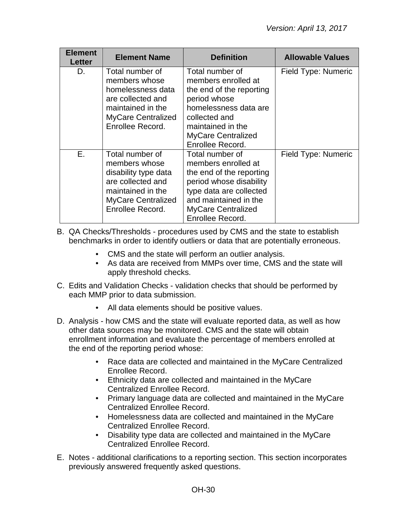| <b>Element</b><br><b>Letter</b> | <b>Element Name</b>                                                                                                                                 | <b>Definition</b>                                                                                                                                                                                  | <b>Allowable Values</b> |
|---------------------------------|-----------------------------------------------------------------------------------------------------------------------------------------------------|----------------------------------------------------------------------------------------------------------------------------------------------------------------------------------------------------|-------------------------|
| D.                              | Total number of<br>members whose<br>homelessness data<br>are collected and<br>maintained in the<br><b>MyCare Centralized</b><br>Enrollee Record.    | Total number of<br>members enrolled at<br>the end of the reporting<br>period whose<br>homelessness data are<br>collected and<br>maintained in the<br><b>MyCare Centralized</b><br>Enrollee Record. | Field Type: Numeric     |
| E.                              | Total number of<br>members whose<br>disability type data<br>are collected and<br>maintained in the<br><b>MyCare Centralized</b><br>Enrollee Record. | Total number of<br>members enrolled at<br>the end of the reporting<br>period whose disability<br>type data are collected<br>and maintained in the<br><b>MyCare Centralized</b><br>Enrollee Record. | Field Type: Numeric     |

- B. QA Checks/Thresholds procedures used by CMS and the state to establish benchmarks in order to identify outliers or data that are potentially erroneous.
	- CMS and the state will perform an outlier analysis.
	- As data are received from MMPs over time, CMS and the state will apply threshold checks.
- C. Edits and Validation Checks validation checks that should be performed by each MMP prior to data submission.
	- All data elements should be positive values.
- D. Analysis how CMS and the state will evaluate reported data, as well as how other data sources may be monitored. CMS and the state will obtain enrollment information and evaluate the percentage of members enrolled at the end of the reporting period whose:
	- Race data are collected and maintained in the MyCare Centralized Enrollee Record.
	- Ethnicity data are collected and maintained in the MyCare Centralized Enrollee Record.
	- Primary language data are collected and maintained in the MyCare Centralized Enrollee Record.
	- Homelessness data are collected and maintained in the MyCare Centralized Enrollee Record.
	- Disability type data are collected and maintained in the MyCare Centralized Enrollee Record.
- E. Notes additional clarifications to a reporting section. This section incorporates previously answered frequently asked questions.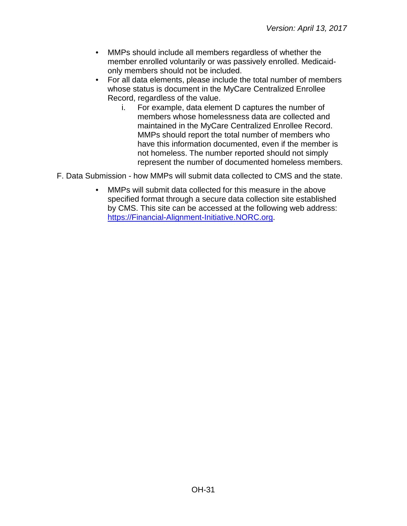- MMPs should include all members regardless of whether the member enrolled voluntarily or was passively enrolled. Medicaidonly members should not be included.
- For all data elements, please include the total number of members whose status is document in the MyCare Centralized Enrollee Record, regardless of the value.
	- i. For example, data element D captures the number of members whose homelessness data are collected and maintained in the MyCare Centralized Enrollee Record. MMPs should report the total number of members who have this information documented, even if the member is not homeless. The number reported should not simply represent the number of documented homeless members.
- F. Data Submission how MMPs will submit data collected to CMS and the state.
	- MMPs will submit data collected for this measure in the above specified format through a secure data collection site established by CMS. This site can be accessed at the following web address: [https://Financial-Alignment-Initiative.NORC.org.](https://financial-alignment-initiative.norc.org/)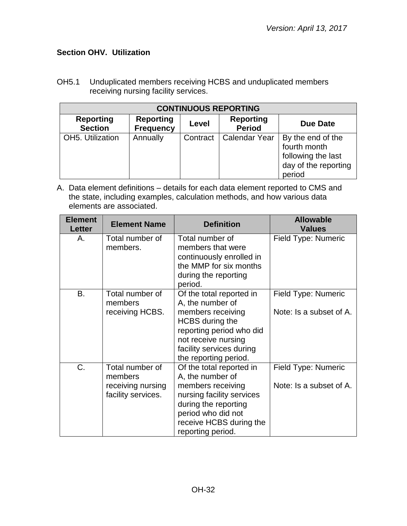# <span id="page-31-0"></span>**Section OHV. Utilization**

OH5.1 Unduplicated members receiving HCBS and unduplicated members receiving nursing facility services.

| <b>CONTINUOUS REPORTING</b>        |                                      |          |                                   |                                                                                           |  |  |  |
|------------------------------------|--------------------------------------|----------|-----------------------------------|-------------------------------------------------------------------------------------------|--|--|--|
| <b>Reporting</b><br><b>Section</b> | <b>Reporting</b><br><b>Frequency</b> | Level    | <b>Reporting</b><br><b>Period</b> | <b>Due Date</b>                                                                           |  |  |  |
| OH5. Utilization                   | Annually                             | Contract | <b>Calendar Year</b>              | By the end of the<br>fourth month<br>following the last<br>day of the reporting<br>period |  |  |  |

| <b>Element</b><br><b>Letter</b> | <b>Element Name</b>                                                   | <b>Definition</b>                                                                                                                                                                                   | <b>Allowable</b><br><b>Values</b>              |
|---------------------------------|-----------------------------------------------------------------------|-----------------------------------------------------------------------------------------------------------------------------------------------------------------------------------------------------|------------------------------------------------|
| Α.                              | Total number of<br>members.                                           | Total number of<br>members that were<br>continuously enrolled in<br>the MMP for six months<br>during the reporting<br>period.                                                                       | Field Type: Numeric                            |
| <b>B.</b>                       | Total number of<br>members<br>receiving HCBS.                         | Of the total reported in<br>A, the number of<br>members receiving<br><b>HCBS</b> during the<br>reporting period who did<br>not receive nursing<br>facility services during<br>the reporting period. | Field Type: Numeric<br>Note: Is a subset of A. |
| C.                              | Total number of<br>members<br>receiving nursing<br>facility services. | Of the total reported in<br>A, the number of<br>members receiving<br>nursing facility services<br>during the reporting<br>period who did not<br>receive HCBS during the<br>reporting period.        | Field Type: Numeric<br>Note: Is a subset of A. |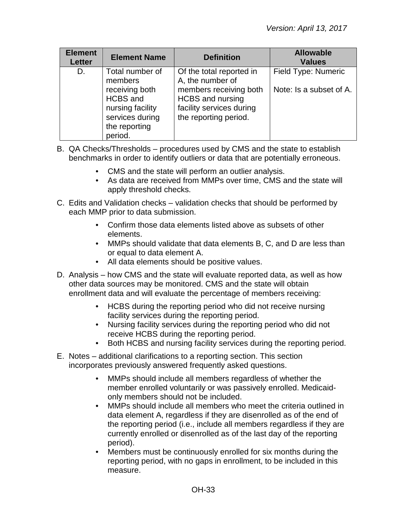| <b>Element</b><br><b>Letter</b> | <b>Element Name</b>                                                                                  | <b>Definition</b>                                                                                      | <b>Allowable</b><br><b>Values</b> |
|---------------------------------|------------------------------------------------------------------------------------------------------|--------------------------------------------------------------------------------------------------------|-----------------------------------|
| D.                              | Total number of<br>members                                                                           | Of the total reported in<br>A, the number of                                                           | Field Type: Numeric               |
|                                 | receiving both<br><b>HCBS</b> and<br>nursing facility<br>services during<br>the reporting<br>period. | members receiving both<br><b>HCBS</b> and nursing<br>facility services during<br>the reporting period. | Note: Is a subset of A.           |

- B. QA Checks/Thresholds procedures used by CMS and the state to establish benchmarks in order to identify outliers or data that are potentially erroneous.
	- CMS and the state will perform an outlier analysis.
	- As data are received from MMPs over time, CMS and the state will apply threshold checks.
- C. Edits and Validation checks validation checks that should be performed by each MMP prior to data submission.
	- Confirm those data elements listed above as subsets of other elements.
	- MMPs should validate that data elements B, C, and D are less than or equal to data element A.
	- All data elements should be positive values.
- D. Analysis how CMS and the state will evaluate reported data, as well as how other data sources may be monitored. CMS and the state will obtain enrollment data and will evaluate the percentage of members receiving:
	- HCBS during the reporting period who did not receive nursing facility services during the reporting period.
	- Nursing facility services during the reporting period who did not receive HCBS during the reporting period.
	- Both HCBS and nursing facility services during the reporting period.
- E. Notes additional clarifications to a reporting section. This section incorporates previously answered frequently asked questions.
	- MMPs should include all members regardless of whether the member enrolled voluntarily or was passively enrolled. Medicaidonly members should not be included.
	- MMPs should include all members who meet the criteria outlined in data element A, regardless if they are disenrolled as of the end of the reporting period (i.e., include all members regardless if they are currently enrolled or disenrolled as of the last day of the reporting period).
	- Members must be continuously enrolled for six months during the reporting period, with no gaps in enrollment, to be included in this measure.